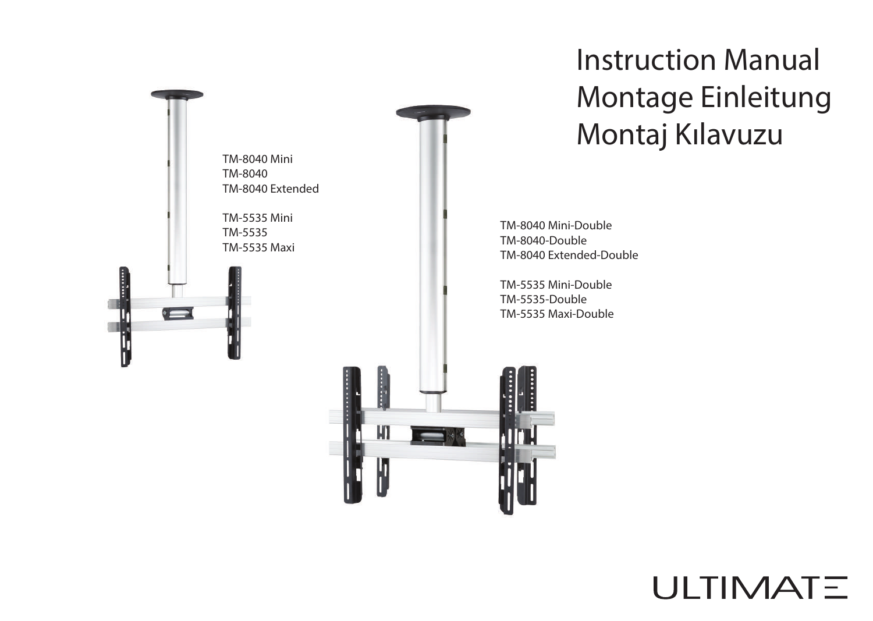

## Instruction Manual Montage Einleitung Montaj Kılavuzu

TM-8040 Mini-Double TM-8040-Double TM-8040 Extended-Double

TM-5535 Mini-Double TM-5535-Double TM-5535 Maxi-Double



## ULTIMATE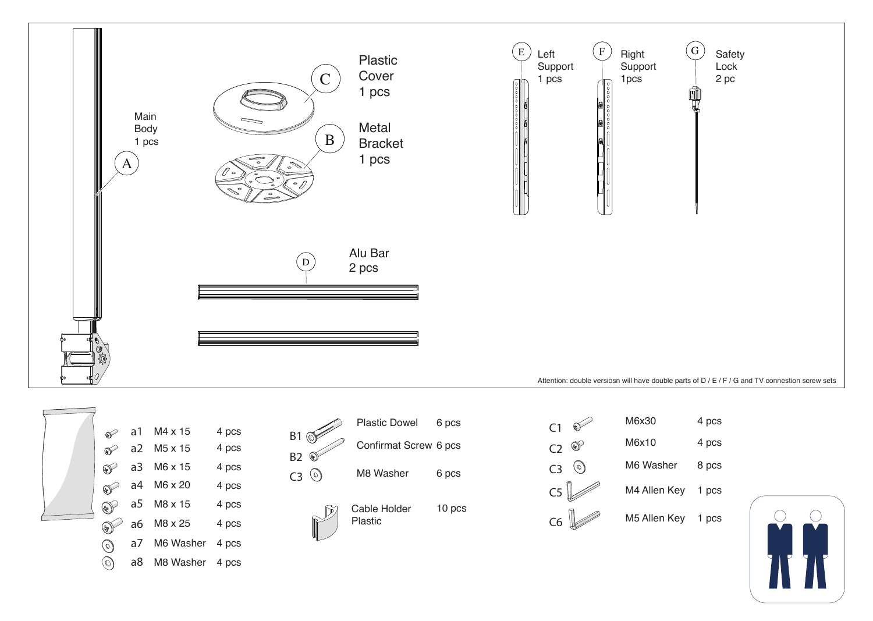



|                    | Plastic Dowel         | 6 pcs  |
|--------------------|-----------------------|--------|
| B1<br><b>B2</b>    | Confirmat Screw 6 pcs |        |
| 0)<br>$\mathsf{C}$ | M8 Washer             | 6 pcs  |
|                    | Cable Holder          | 10 pcs |

Plastic



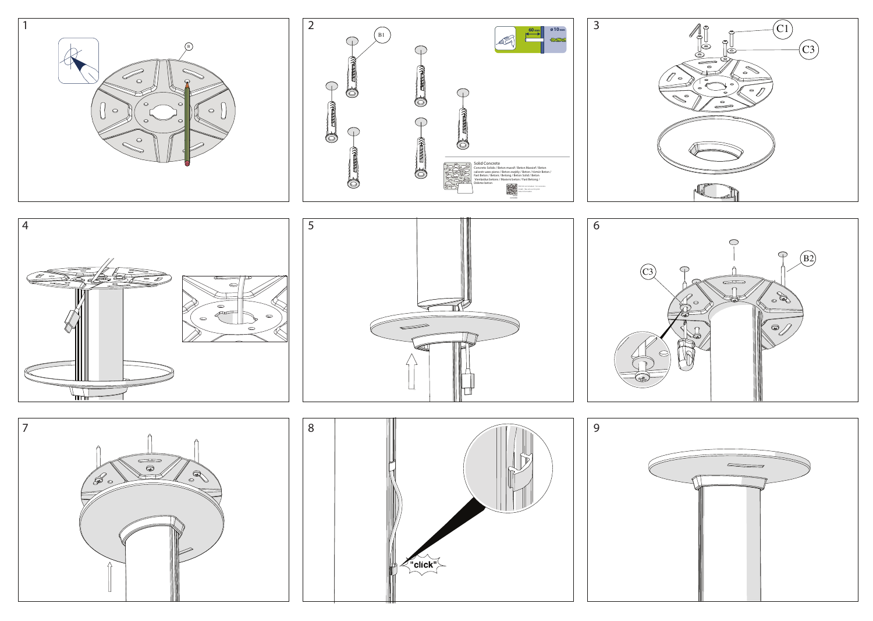